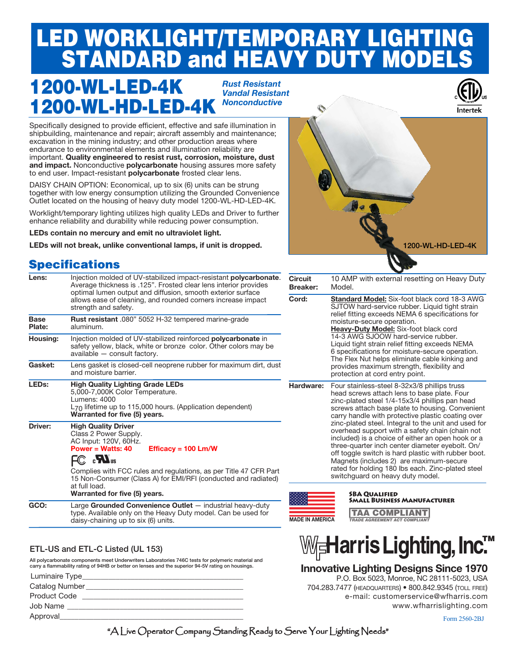# LED WORKLIGHT/TEMPORARY LIGHTING STANDARD and HEAVY DUTY MODELS

# 1200-WL-LED-4K 1200-WL-HD-LED-4K

*Rust Resistant Vandal Resistant Nonconductive*



Specifically designed to provide efficient, effective and safe illumination in shipbuilding, maintenance and repair; aircraft assembly and maintenance; excavation in the mining industry; and other production areas where endurance to environmental elements and illumination reliability are important. **Quality engineered to resist rust, corrosion, moisture, dust and impact.** Nonconductive **polycarbonate** housing assures more safety to end user. Impact-resistant **polycarbonate** frosted clear lens.

DAISY CHAIN OPTION: Economical, up to six (6) units can be strung together with low energy consumption utilizing the Grounded Convenience Outlet located on the housing of heavy duty model 1200-WL-HD-LED-4K.

Worklight/temporary lighting utilizes high quality LEDs and Driver to further enhance reliability and durability while reducing power consumption.

**LEDs contain no mercury and emit no ultraviolet light.** 

**LEDs will not break, unlike conventional lamps, if unit is dropped.** 

## **Specifications**

| Lens:                 | Injection molded of UV-stabilized impact-resistant <b>polycarbonate</b> .<br>Average thickness is .125". Frosted clear lens interior provides<br>optimal lumen output and diffusion, smooth exterior surface<br>allows ease of cleaning, and rounded corners increase impact<br>strength and safety.                                                                               | $\mathsf{C}$<br>E<br>$\overline{\epsilon}$ |  |  |
|-----------------------|------------------------------------------------------------------------------------------------------------------------------------------------------------------------------------------------------------------------------------------------------------------------------------------------------------------------------------------------------------------------------------|--------------------------------------------|--|--|
| <b>Base</b><br>Plate: | Rust resistant .080" 5052 H-32 tempered marine-grade<br>aluminum.                                                                                                                                                                                                                                                                                                                  |                                            |  |  |
| Housing:              | Injection molded of UV-stabilized reinforced <b>polycarbonate</b> in<br>safety yellow, black, white or bronze color. Other colors may be<br>available - consult factory.                                                                                                                                                                                                           |                                            |  |  |
| Gasket:               | Lens gasket is closed-cell neoprene rubber for maximum dirt, dust<br>and moisture barrier.                                                                                                                                                                                                                                                                                         |                                            |  |  |
| LED <sub>s:</sub>     | <b>High Quality Lighting Grade LEDs</b><br>5,000-7,000K Color Temperature.<br>Lumens: 4000<br>$L_{70}$ lifetime up to 115,000 hours. (Application dependent)<br>Warranted for five (5) years.                                                                                                                                                                                      |                                            |  |  |
| <b>Driver:</b>        | <b>High Quality Driver</b><br>Class 2 Power Supply.<br>AC Input: 120V, 60Hz.<br>Power = Watts: $40$<br>Efficacy = $100 \text{ Lm/W}$<br>$FC$ $\cdot$ $\bullet$ $\mathbf{M}_{\mathrm{us}}$<br>Complies with FCC rules and regulations, as per Title 47 CFR Part<br>15 Non-Consumer (Class A) for EMI/RFI (conducted and radiated)<br>at full load.<br>Warranted for five (5) years. | <b>Address</b>                             |  |  |
| GCO:                  | Large Grounded Convenience Outlet - industrial heavy-duty<br>type. Available only on the Heavy Duty model. Can be used for<br>daisy-chaining up to six (6) units.                                                                                                                                                                                                                  |                                            |  |  |
|                       |                                                                                                                                                                                                                                                                                                                                                                                    |                                            |  |  |

#### ETL-US and ETL-C Listed (UL 153)

All polycarbonate components meet Underwriters Laboratories 746C tests for polymeric material and carry a flammability rating of 94HB or better on lenses and the superior 94-5V rating on housings.

|                         | $\cdots$                                                                                                        |  |  |  |  |
|-------------------------|-----------------------------------------------------------------------------------------------------------------|--|--|--|--|
| Approval                |                                                                                                                 |  |  |  |  |
| Job Name                |                                                                                                                 |  |  |  |  |
| <b>Product Code</b>     | the contract of the contract of the contract of the contract of the contract of the contract of the contract of |  |  |  |  |
| Catalog Number          |                                                                                                                 |  |  |  |  |
| Luminaire Type_________ |                                                                                                                 |  |  |  |  |



| Circuit<br><b>Breaker:</b> | 10 AMP with external resetting on Heavy Duty<br>Model.                                                                                                                                                                                                                                                                                                                                                                                                                                                                                                                                                                                                              |
|----------------------------|---------------------------------------------------------------------------------------------------------------------------------------------------------------------------------------------------------------------------------------------------------------------------------------------------------------------------------------------------------------------------------------------------------------------------------------------------------------------------------------------------------------------------------------------------------------------------------------------------------------------------------------------------------------------|
| Cord:                      | <b>Standard Model:</b> Six-foot black cord 18-3 AWG<br>SJTOW hard-service rubber. Liquid tight strain<br>relief fitting exceeds NEMA 6 specifications for<br>moisture-secure operation.<br>Heavy-Duty Model: Six-foot black cord<br>14-3 AWG SJOOW hard-service rubber.<br>Liquid tight strain relief fitting exceeds NEMA<br>6 specifications for moisture-secure operation.<br>The Flex Nut helps eliminate cable kinking and<br>provides maximum strength, flexibility and<br>protection at cord entry point.                                                                                                                                                    |
| Hardware:                  | Four stainless-steel 8-32x3/8 phillips truss<br>head screws attach lens to base plate. Four<br>zinc-plated steel 1/4-15x3/4 phillips pan head<br>screws attach base plate to housing. Convenient<br>carry handle with protective plastic coating over<br>zinc-plated steel. Integral to the unit and used for<br>overhead support with a safety chain (chain not<br>included) is a choice of either an open hook or a<br>three-quarter inch center diameter eyebolt. On/<br>off toggle switch is hard plastic with rubber boot.<br>Magnets (includes 2) are maximum-secure<br>rated for holding 180 lbs each. Zinc-plated steel<br>switchquard on heavy duty model. |
|                            | <b>SBA QUALIFIED</b><br><b>SMALL BUSINESS MANUFACTURER</b>                                                                                                                                                                                                                                                                                                                                                                                                                                                                                                                                                                                                          |



TAA COMPLIANT

### **Innovative Lighting Designs Since 1970**

 P.O. Box 5023, Monroe, NC 28111-5023, USA 704.283.7477 (headquarters) • 800.842.9345 (toll free) e-mail: customerservice@wfharris.com www.wfharrislighting.com

Form 2560-2BJ

"A Live Operator Company Standing Ready to Serve Your Lighting Needs"